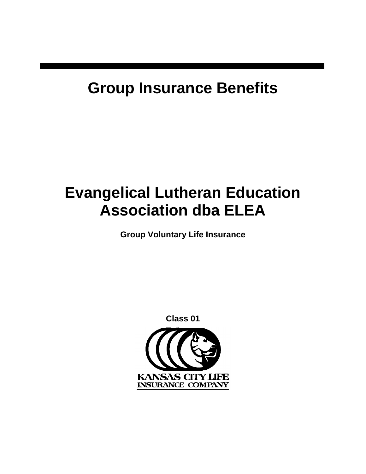# **Group Insurance Benefits**

# **Evangelical Lutheran Education Association dba ELEA**

**Group Voluntary Life Insurance**

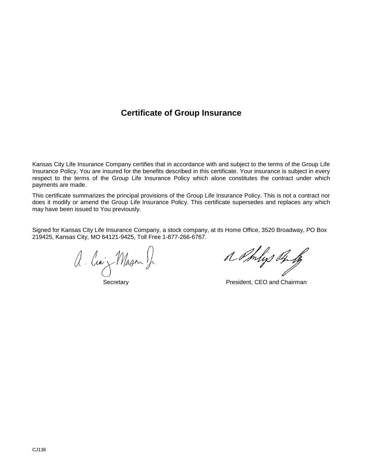## **Certificate of Group Insurance**

Kansas City Life Insurance Company certifies that in accordance with and subject to the terms of the Group Life Insurance Policy, You are insured for the benefits described in this certificate. Your insurance is subject in every respect to the terms of the Group Life Insurance Policy which alone constitutes the contract under which payments are made.

This certificate summarizes the principal provisions of the Group Life Insurance Policy. This is not a contract nor does it modify or amend the Group Life Insurance Policy. This certificate supersedes and replaces any which may have been issued to You previously.

Signed for Kansas City Life Insurance Company, a stock company, at its Home Office, 3520 Broadway, PO Box 219425, Kansas City, MO 64121-9425, Toll Free 1-877-266-6767.

or Phys of to a Chilips of Mason J. Anlines of the families of the families of the families of the families of the families o<br>Secretary President, CEO and Chairman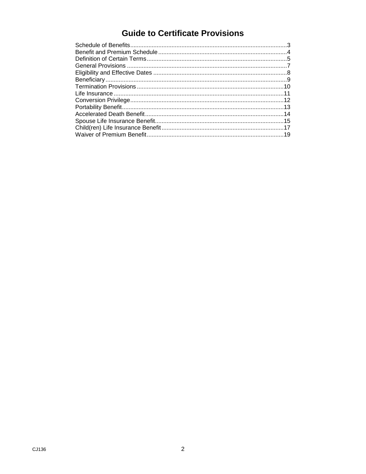## **Guide to Certificate Provisions**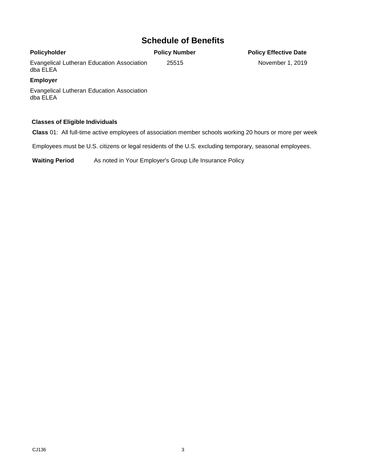## <span id="page-4-0"></span>**Schedule of Benefits**

#### **Policyholder** Evangelical Lutheran Education Association dba ELEA **Policy Number** 25515 **Policy Effective Date** November 1, 2019 **Employer**

Evangelical Lutheran Education Association dba ELEA

#### **Classes of Eligible Individuals**

**Class** 01:All full-time active employees of association member schools working 20 hours or more per week

Employees must be U.S. citizens or legal residents of the U.S. excluding temporary, seasonal employees.

**Waiting Period** As noted in Your Employer's Group Life Insurance Policy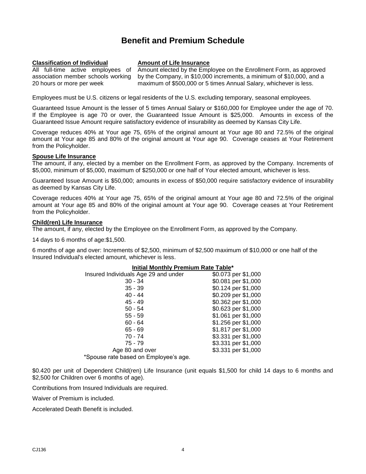## **Benefit and Premium Schedule**

#### <span id="page-5-0"></span>**Classification of Individual Amount of Life Insurance**

20 hours or more per week

All full-time active employees of

association member schools working Amount elected by the Employee on the Enrollment Form, as approved by the Company, in \$10,000 increments, a minimum of \$10,000, and a maximum of \$500,000 or 5 times Annual Salary, whichever is less.

Employees must be U.S. citizens or legal residents of the U.S. excluding temporary, seasonal employees.

Guaranteed Issue Amount is the lesser of 5 times Annual Salary or \$160,000 for Employee under the age of 70. If the Employee is age 70 or over, the Guaranteed Issue Amount is \$25,000. Amounts in excess of the Guaranteed Issue Amount require satisfactory evidence of insurability as deemed by Kansas City Life.

Coverage reduces 40% at Your age 75, 65% of the original amount at Your age 80 and 72.5% of the original amount at Your age 85 and 80% of the original amount at Your age 90. Coverage ceases at Your Retirement from the Policyholder.

#### **Spouse Life Insurance**

The amount, if any, elected by a member on the Enrollment Form, as approved by the Company. Increments of \$5,000, minimum of \$5,000, maximum of \$250,000 or one half of Your elected amount, whichever is less.

Guaranteed Issue Amount is \$50,000; amounts in excess of \$50,000 require satisfactory evidence of insurability as deemed by Kansas City Life.

Coverage reduces 40% at Your age 75, 65% of the original amount at Your age 80 and 72.5% of the original amount at Your age 85 and 80% of the original amount at Your age 90. Coverage ceases at Your Retirement from the Policyholder.

#### **Child(ren) Life Insurance**

The amount, if any, elected by the Employee on the Enrollment Form, as approved by the Company.

14 days to 6 months of age:\$1,500.

6 months of age and over: Increments of \$2,500, minimum of \$2,500 maximum of \$10,000 or one half of the Insured Individual's elected amount, whichever is less.

#### **Initial Monthly Premium Rate Table\***

| Insured Individuals Age 29 and under | \$0.073 per \$1,000 |
|--------------------------------------|---------------------|
| $30 - 34$                            | \$0.081 per \$1,000 |
| $35 - 39$                            | \$0.124 per \$1,000 |
| $40 - 44$                            | \$0.209 per \$1,000 |
| $45 - 49$                            | \$0.362 per \$1,000 |
| $50 - 54$                            | \$0.623 per \$1,000 |
| $55 - 59$                            | \$1.061 per \$1,000 |
| $60 - 64$                            | \$1.256 per \$1,000 |
| $65 - 69$                            | \$1.817 per \$1,000 |
| $70 - 74$                            | \$3.331 per \$1,000 |
| $75 - 79$                            | \$3.331 per \$1,000 |
| Age 80 and over                      | \$3.331 per \$1,000 |
| *Spouse rate based on Employee's age |                     |

Spouse rate based on Employee's age.

\$0.420 per unit of Dependent Child(ren) Life Insurance (unit equals \$1,500 for child 14 days to 6 months and \$2,500 for Children over 6 months of age).

Contributions from Insured Individuals are required.

Waiver of Premium is included.

Accelerated Death Benefit is included.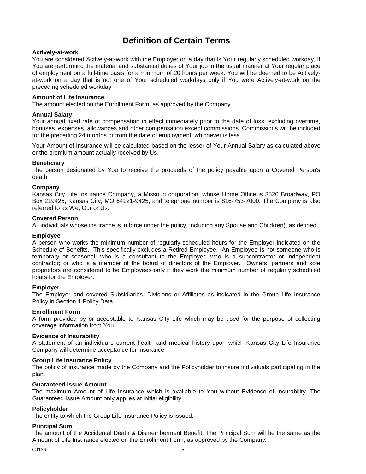## **Definition of Certain Terms**

#### <span id="page-6-0"></span>**Actively-at-work**

You are considered Actively-at-work with the Employer on a day that is Your regularly scheduled workday, if You are performing the material and substantial duties of Your job in the usual manner at Your regular place of employment on a full-time basis for a minimum of 20 hours per week. You will be deemed to be Activelyat-work on a day that is not one of Your scheduled workdays only if You were Actively-at-work on the preceding scheduled workday.

#### **Amount of Life Insurance**

The amount elected on the Enrollment Form, as approved by the Company.

#### **Annual Salary**

Your annual fixed rate of compensation in effect immediately prior to the date of loss, excluding overtime, bonuses, expenses, allowances and other compensation except commissions. Commissions will be included for the preceding 24 months or from the date of employment, whichever is less.

Your Amount of Insurance will be calculated based on the lesser of Your Annual Salary as calculated above or the premium amount actually received by Us.

#### **Beneficiary**

The person designated by You to receive the proceeds of the policy payable upon a Covered Person's death.

#### **Company**

Kansas City Life Insurance Company, a Missouri corporation, whose Home Office is 3520 Broadway, PO Box 219425, Kansas City, MO 64121-9425, and telephone number is 816-753-7000. The Company is also referred to as We, Our or Us.

#### **Covered Person**

All individuals whose insurance is in force under the policy, including any Spouse and Child(ren), as defined.

#### **Employee**

A person who works the minimum number of regularly scheduled hours for the Employer indicated on the Schedule of Benefits. This specifically excludes a Retired Employee. An Employee is not someone who is temporary or seasonal; who is a consultant to the Employer; who is a subcontractor or independent contractor; or who is a member of the board of directors of the Employer. Owners, partners and sole proprietors are considered to be Employees only if they work the minimum number of regularly scheduled hours for the Employer.

#### **Employer**

The Employer and covered Subsidiaries, Divisions or Affiliates as indicated in the Group Life Insurance Policy in Section 1 Policy Data.

#### **Enrollment Form**

A form provided by or acceptable to Kansas City Life which may be used for the purpose of collecting coverage information from You.

#### **Evidence of Insurability**

A statement of an individual's current health and medical history upon which Kansas City Life Insurance Company will determine acceptance for insurance.

#### **Group Life Insurance Policy**

The policy of insurance made by the Company and the Policyholder to insure individuals participating in the plan.

#### **Guaranteed Issue Amount**

The maximum Amount of Life Insurance which is available to You without Evidence of Insurability. The Guaranteed Issue Amount only applies at initial eligibility.

#### **Policyholder**

The entity to which the Group Life Insurance Policy is issued.

#### **Principal Sum**

The amount of the Accidental Death & Dismemberment Benefit. The Principal Sum will be the same as the Amount of Life Insurance elected on the Enrollment Form, as approved by the Company.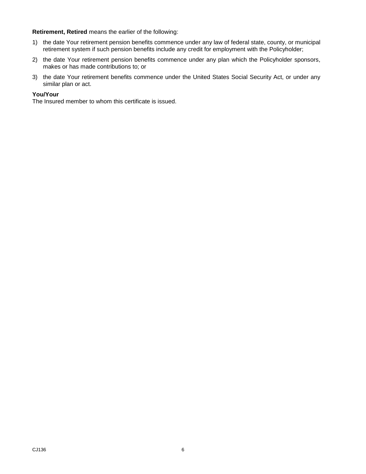**Retirement, Retired** means the earlier of the following:

- 1) the date Your retirement pension benefits commence under any law of federal state, county, or municipal retirement system if such pension benefits include any credit for employment with the Policyholder;
- 2) the date Your retirement pension benefits commence under any plan which the Policyholder sponsors, makes or has made contributions to; or
- 3) the date Your retirement benefits commence under the United States Social Security Act, or under any similar plan or act.

#### **You/Your**

The Insured member to whom this certificate is issued.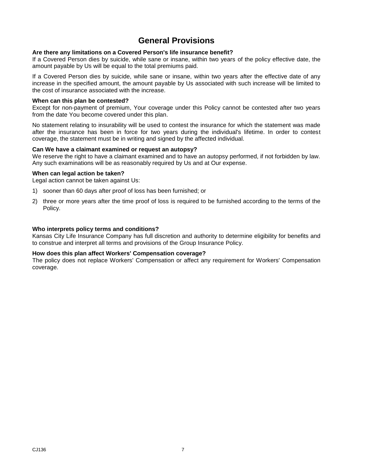## **General Provisions**

#### <span id="page-8-0"></span>**Are there any limitations on a Covered Person's life insurance benefit?**

If a Covered Person dies by suicide, while sane or insane, within two years of the policy effective date, the amount payable by Us will be equal to the total premiums paid.

If a Covered Person dies by suicide, while sane or insane, within two years after the effective date of any increase in the specified amount, the amount payable by Us associated with such increase will be limited to the cost of insurance associated with the increase.

#### **When can this plan be contested?**

Except for non-payment of premium, Your coverage under this Policy cannot be contested after two years from the date You become covered under this plan.

No statement relating to insurability will be used to contest the insurance for which the statement was made after the insurance has been in force for two years during the individual's lifetime. In order to contest coverage, the statement must be in writing and signed by the affected individual.

#### **Can We have a claimant examined or request an autopsy?**

We reserve the right to have a claimant examined and to have an autopsy performed, if not forbidden by law. Any such examinations will be as reasonably required by Us and at Our expense.

#### **When can legal action be taken?**

Legal action cannot be taken against Us:

- 1) sooner than 60 days after proof of loss has been furnished; or
- 2) three or more years after the time proof of loss is required to be furnished according to the terms of the Policy.

#### **Who interprets policy terms and conditions?**

Kansas City Life Insurance Company has full discretion and authority to determine eligibility for benefits and to construe and interpret all terms and provisions of the Group Insurance Policy.

#### **How does this plan affect Workers' Compensation coverage?**

The policy does not replace Workers' Compensation or affect any requirement for Workers' Compensation coverage.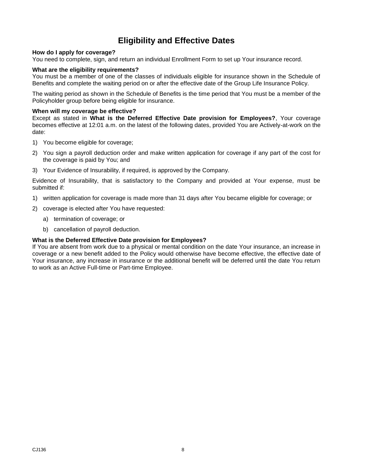## **Eligibility and Effective Dates**

#### <span id="page-9-0"></span>**How do I apply for coverage?**

You need to complete, sign, and return an individual Enrollment Form to set up Your insurance record.

#### **What are the eligibility requirements?**

You must be a member of one of the classes of individuals eligible for insurance shown in the Schedule of Benefits and complete the waiting period on or after the effective date of the Group Life Insurance Policy.

The waiting period as shown in the Schedule of Benefits is the time period that You must be a member of the Policyholder group before being eligible for insurance.

#### **When will my coverage be effective?**

Except as stated in **What is the Deferred Effective Date provision for Employees?**, Your coverage becomes effective at 12:01 a.m. on the latest of the following dates, provided You are Actively-at-work on the date:

- 1) You become eligible for coverage;
- 2) You sign a payroll deduction order and make written application for coverage if any part of the cost for the coverage is paid by You; and
- 3) Your Evidence of Insurability, if required, is approved by the Company.

Evidence of Insurability, that is satisfactory to the Company and provided at Your expense, must be submitted if:

- 1) written application for coverage is made more than 31 days after You became eligible for coverage; or
- 2) coverage is elected after You have requested:
	- a) termination of coverage; or
	- b) cancellation of payroll deduction.

#### **What is the Deferred Effective Date provision for Employees?**

If You are absent from work due to a physical or mental condition on the date Your insurance, an increase in coverage or a new benefit added to the Policy would otherwise have become effective, the effective date of Your insurance, any increase in insurance or the additional benefit will be deferred until the date You return to work as an Active Full-time or Part-time Employee.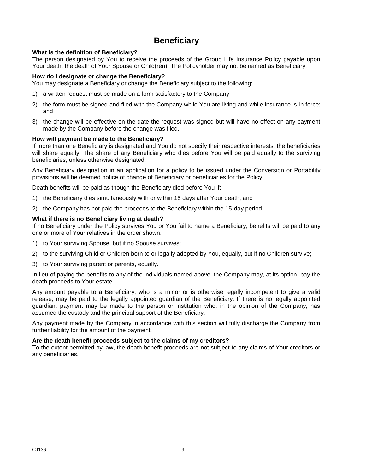## **Beneficiary**

#### <span id="page-10-0"></span>**What is the definition of Beneficiary?**

The person designated by You to receive the proceeds of the Group Life Insurance Policy payable upon Your death, the death of Your Spouse or Child(ren). The Policyholder may not be named as Beneficiary.

#### **How do I designate or change the Beneficiary?**

You may designate a Beneficiary or change the Beneficiary subject to the following:

- 1) a written request must be made on a form satisfactory to the Company;
- 2) the form must be signed and filed with the Company while You are living and while insurance is in force; and
- 3) the change will be effective on the date the request was signed but will have no effect on any payment made by the Company before the change was filed.

#### **How will payment be made to the Beneficiary?**

If more than one Beneficiary is designated and You do not specify their respective interests, the beneficiaries will share equally. The share of any Beneficiary who dies before You will be paid equally to the surviving beneficiaries, unless otherwise designated.

Any Beneficiary designation in an application for a policy to be issued under the Conversion or Portability provisions will be deemed notice of change of Beneficiary or beneficiaries for the Policy.

Death benefits will be paid as though the Beneficiary died before You if:

- 1) the Beneficiary dies simultaneously with or within 15 days after Your death; and
- 2) the Company has not paid the proceeds to the Beneficiary within the 15-day period.

#### **What if there is no Beneficiary living at death?**

If no Beneficiary under the Policy survives You or You fail to name a Beneficiary, benefits will be paid to any one or more of Your relatives in the order shown:

- 1) to Your surviving Spouse, but if no Spouse survives;
- 2) to the surviving Child or Children born to or legally adopted by You, equally, but if no Children survive;
- 3) to Your surviving parent or parents, equally.

In lieu of paying the benefits to any of the individuals named above, the Company may, at its option, pay the death proceeds to Your estate.

Any amount payable to a Beneficiary, who is a minor or is otherwise legally incompetent to give a valid release, may be paid to the legally appointed guardian of the Beneficiary. If there is no legally appointed guardian, payment may be made to the person or institution who, in the opinion of the Company, has assumed the custody and the principal support of the Beneficiary.

Any payment made by the Company in accordance with this section will fully discharge the Company from further liability for the amount of the payment.

#### **Are the death benefit proceeds subject to the claims of my creditors?**

To the extent permitted by law, the death benefit proceeds are not subject to any claims of Your creditors or any beneficiaries.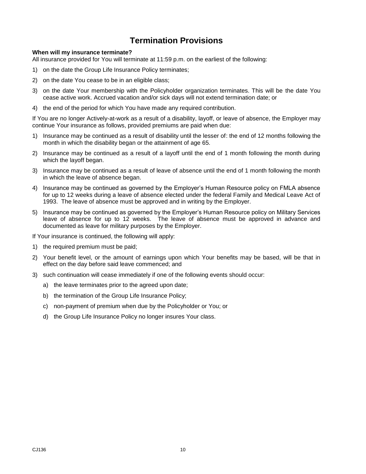## **Termination Provisions**

#### <span id="page-11-0"></span>**When will my insurance terminate?**

All insurance provided for You will terminate at 11:59 p.m. on the earliest of the following:

- 1) on the date the Group Life Insurance Policy terminates;
- 2) on the date You cease to be in an eligible class;
- 3) on the date Your membership with the Policyholder organization terminates. This will be the date You cease active work. Accrued vacation and/or sick days will not extend termination date; or
- 4) the end of the period for which You have made any required contribution.

If You are no longer Actively-at-work as a result of a disability, layoff, or leave of absence, the Employer may continue Your insurance as follows, provided premiums are paid when due:

- 1) Insurance may be continued as a result of disability until the lesser of: the end of 12 months following the month in which the disability began or the attainment of age 65.
- 2) Insurance may be continued as a result of a layoff until the end of 1 month following the month during which the layoff began.
- 3) Insurance may be continued as a result of leave of absence until the end of 1 month following the month in which the leave of absence began.
- 4) Insurance may be continued as governed by the Employer's Human Resource policy on FMLA absence for up to 12 weeks during a leave of absence elected under the federal Family and Medical Leave Act of 1993. The leave of absence must be approved and in writing by the Employer.
- 5) Insurance may be continued as governed by the Employer's Human Resource policy on Military Services leave of absence for up to 12 weeks. The leave of absence must be approved in advance and documented as leave for military purposes by the Employer.

If Your insurance is continued, the following will apply:

- 1) the required premium must be paid;
- 2) Your benefit level, or the amount of earnings upon which Your benefits may be based, will be that in effect on the day before said leave commenced; and
- 3) such continuation will cease immediately if one of the following events should occur:
	- a) the leave terminates prior to the agreed upon date;
	- b) the termination of the Group Life Insurance Policy;
	- c) non-payment of premium when due by the Policyholder or You; or
	- d) the Group Life Insurance Policy no longer insures Your class.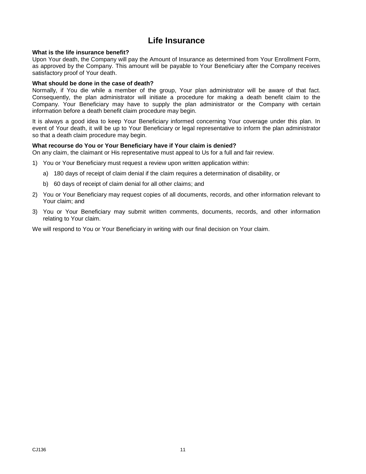## **Life Insurance**

#### <span id="page-12-0"></span>**What is the life insurance benefit?**

Upon Your death, the Company will pay the Amount of Insurance as determined from Your Enrollment Form, as approved by the Company. This amount will be payable to Your Beneficiary after the Company receives satisfactory proof of Your death.

#### **What should be done in the case of death?**

Normally, if You die while a member of the group, Your plan administrator will be aware of that fact. Consequently, the plan administrator will initiate a procedure for making a death benefit claim to the Company. Your Beneficiary may have to supply the plan administrator or the Company with certain information before a death benefit claim procedure may begin.

It is always a good idea to keep Your Beneficiary informed concerning Your coverage under this plan. In event of Your death, it will be up to Your Beneficiary or legal representative to inform the plan administrator so that a death claim procedure may begin.

#### **What recourse do You or Your Beneficiary have if Your claim is denied?**

On any claim, the claimant or His representative must appeal to Us for a full and fair review.

- 1) You or Your Beneficiary must request a review upon written application within:
	- a) 180 days of receipt of claim denial if the claim requires a determination of disability, or
	- b) 60 days of receipt of claim denial for all other claims; and
- 2) You or Your Beneficiary may request copies of all documents, records, and other information relevant to Your claim; and
- 3) You or Your Beneficiary may submit written comments, documents, records, and other information relating to Your claim.

We will respond to You or Your Beneficiary in writing with our final decision on Your claim.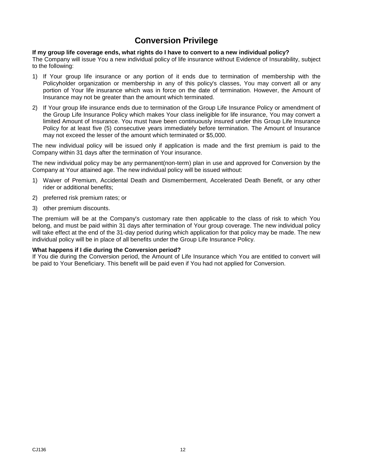## **Conversion Privilege**

#### <span id="page-13-0"></span>**If my group life coverage ends, what rights do I have to convert to a new individual policy?**

The Company will issue You a new individual policy of life insurance without Evidence of Insurability, subject to the following:

- 1) If Your group life insurance or any portion of it ends due to termination of membership with the Policyholder organization or membership in any of this policy's classes, You may convert all or any portion of Your life insurance which was in force on the date of termination. However, the Amount of Insurance may not be greater than the amount which terminated.
- 2) If Your group life insurance ends due to termination of the Group Life Insurance Policy or amendment of the Group Life Insurance Policy which makes Your class ineligible for life insurance, You may convert a limited Amount of Insurance. You must have been continuously insured under this Group Life Insurance Policy for at least five (5) consecutive years immediately before termination. The Amount of Insurance may not exceed the lesser of the amount which terminated or \$5,000.

The new individual policy will be issued only if application is made and the first premium is paid to the Company within 31 days after the termination of Your insurance.

The new individual policy may be any permanent(non-term) plan in use and approved for Conversion by the Company at Your attained age. The new individual policy will be issued without:

- 1) Waiver of Premium, Accidental Death and Dismemberment, Accelerated Death Benefit, or any other rider or additional benefits;
- 2) preferred risk premium rates; or
- 3) other premium discounts.

The premium will be at the Company's customary rate then applicable to the class of risk to which You belong, and must be paid within 31 days after termination of Your group coverage. The new individual policy will take effect at the end of the 31-day period during which application for that policy may be made. The new individual policy will be in place of all benefits under the Group Life Insurance Policy.

#### **What happens if I die during the Conversion period?**

If You die during the Conversion period, the Amount of Life Insurance which You are entitled to convert will be paid to Your Beneficiary. This benefit will be paid even if You had not applied for Conversion.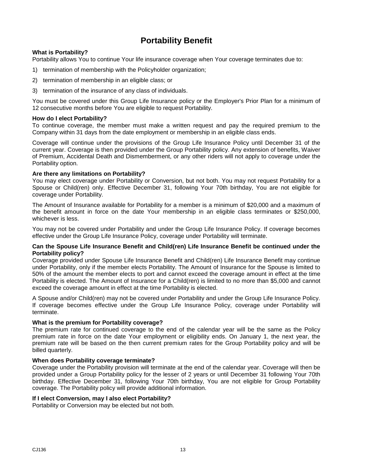## **Portability Benefit**

#### <span id="page-14-0"></span>**What is Portability?**

Portability allows You to continue Your life insurance coverage when Your coverage terminates due to:

- 1) termination of membership with the Policyholder organization;
- 2) termination of membership in an eligible class; or
- 3) termination of the insurance of any class of individuals.

You must be covered under this Group Life Insurance policy or the Employer's Prior Plan for a minimum of 12 consecutive months before You are eligible to request Portability.

#### **How do I elect Portability?**

To continue coverage, the member must make a written request and pay the required premium to the Company within 31 days from the date employment or membership in an eligible class ends.

Coverage will continue under the provisions of the Group Life Insurance Policy until December 31 of the current year. Coverage is then provided under the Group Portability policy. Any extension of benefits, Waiver of Premium, Accidental Death and Dismemberment, or any other riders will not apply to coverage under the Portability option.

#### **Are there any limitations on Portability?**

You may elect coverage under Portability or Conversion, but not both. You may not request Portability for a Spouse or Child(ren) only. Effective December 31, following Your 70th birthday, You are not eligible for coverage under Portability.

The Amount of Insurance available for Portability for a member is a minimum of \$20,000 and a maximum of the benefit amount in force on the date Your membership in an eligible class terminates or \$250,000, whichever is less.

You may not be covered under Portability and under the Group Life Insurance Policy. If coverage becomes effective under the Group Life Insurance Policy, coverage under Portability will terminate.

#### **Can the Spouse Life Insurance Benefit and Child(ren) Life Insurance Benefit be continued under the Portability policy?**

Coverage provided under Spouse Life Insurance Benefit and Child(ren) Life Insurance Benefit may continue under Portability, only if the member elects Portability. The Amount of Insurance for the Spouse is limited to 50% of the amount the member elects to port and cannot exceed the coverage amount in effect at the time Portability is elected. The Amount of Insurance for a Child(ren) is limited to no more than \$5,000 and cannot exceed the coverage amount in effect at the time Portability is elected.

A Spouse and/or Child(ren) may not be covered under Portability and under the Group Life Insurance Policy. If coverage becomes effective under the Group Life Insurance Policy, coverage under Portability will terminate.

#### **What is the premium for Portability coverage?**

The premium rate for continued coverage to the end of the calendar year will be the same as the Policy premium rate in force on the date Your employment or eligibility ends. On January 1, the next year, the premium rate will be based on the then current premium rates for the Group Portability policy and will be billed quarterly.

#### **When does Portability coverage terminate?**

Coverage under the Portability provision will terminate at the end of the calendar year. Coverage will then be provided under a Group Portability policy for the lesser of 2 years or until December 31 following Your 70th birthday. Effective December 31, following Your 70th birthday, You are not eligible for Group Portability coverage. The Portability policy will provide additional information.

#### **If I elect Conversion, may I also elect Portability?**

Portability or Conversion may be elected but not both.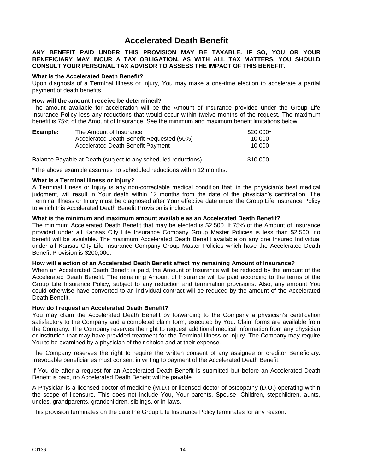### **Accelerated Death Benefit**

#### <span id="page-15-0"></span>**ANY BENEFIT PAID UNDER THIS PROVISION MAY BE TAXABLE***.* **IF SO, YOU OR YOUR BENEFICIARY MAY INCUR A TAX OBLIGATION. AS WITH ALL TAX MATTERS, YOU SHOULD CONSULT YOUR PERSONAL TAX ADVISOR TO ASSESS THE IMPACT OF THIS BENEFIT.**

#### **What is the Accelerated Death Benefit?**

Upon diagnosis of a Terminal Illness or Injury, You may make a one-time election to accelerate a partial payment of death benefits.

#### **How will the amount I receive be determined?**

The amount available for acceleration will be the Amount of Insurance provided under the Group Life Insurance Policy less any reductions that would occur within twelve months of the request. The maximum benefit is 75% of the Amount of Insurance. See the minimum and maximum benefit limitations below.

| Example: | The Amount of Insurance                                        | $$20,000*$ |
|----------|----------------------------------------------------------------|------------|
|          | Accelerated Death Benefit Requested (50%)                      | 10.000     |
|          | Accelerated Death Benefit Payment                              | 10.000     |
|          | Balance Payable at Death (subject to any scheduled reductions) | \$10,000   |

\*The above example assumes no scheduled reductions within 12 months.

#### **What is a Terminal Illness or Injury?**

A Terminal Illness or Injury is any non-correctable medical condition that, in the physician's best medical judgment, will result in Your death within 12 months from the date of the physician's certification. The Terminal Illness or Injury must be diagnosed after Your effective date under the Group Life Insurance Policy to which this Accelerated Death Benefit Provision is included.

#### **What is the minimum and maximum amount available as an Accelerated Death Benefit?**

The minimum Accelerated Death Benefit that may be elected is \$2,500. If 75% of the Amount of Insurance provided under all Kansas City Life Insurance Company Group Master Policies is less than \$2,500, no benefit will be available. The maximum Accelerated Death Benefit available on any one Insured Individual under all Kansas City Life Insurance Company Group Master Policies which have the Accelerated Death Benefit Provision is \$200,000.

#### **How will election of an Accelerated Death Benefit affect my remaining Amount of Insurance?**

When an Accelerated Death Benefit is paid, the Amount of Insurance will be reduced by the amount of the Accelerated Death Benefit. The remaining Amount of Insurance will be paid according to the terms of the Group Life Insurance Policy, subject to any reduction and termination provisions. Also, any amount You could otherwise have converted to an individual contract will be reduced by the amount of the Accelerated Death Benefit.

#### **How do I request an Accelerated Death Benefit?**

You may claim the Accelerated Death Benefit by forwarding to the Company a physician's certification satisfactory to the Company and a completed claim form, executed by You. Claim forms are available from the Company. The Company reserves the right to request additional medical information from any physician or institution that may have provided treatment for the Terminal Illness or Injury. The Company may require You to be examined by a physician of their choice and at their expense.

The Company reserves the right to require the written consent of any assignee or creditor Beneficiary. Irrevocable beneficiaries must consent in writing to payment of the Accelerated Death Benefit.

If You die after a request for an Accelerated Death Benefit is submitted but before an Accelerated Death Benefit is paid, no Accelerated Death Benefit will be payable.

A Physician is a licensed doctor of medicine (M.D.) or licensed doctor of osteopathy (D.O.) operating within the scope of licensure. This does not include You, Your parents, Spouse, Children, stepchildren, aunts, uncles, grandparents, grandchildren, siblings, or in-laws.

This provision terminates on the date the Group Life Insurance Policy terminates for any reason.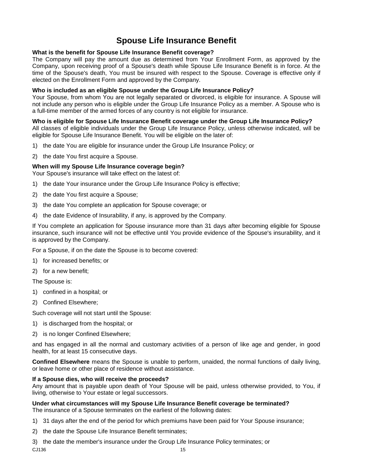## **Spouse Life Insurance Benefit**

#### <span id="page-16-0"></span>**What is the benefit for Spouse Life Insurance Benefit coverage?**

The Company will pay the amount due as determined from Your Enrollment Form, as approved by the Company, upon receiving proof of a Spouse's death while Spouse Life Insurance Benefit is in force. At the time of the Spouse's death, You must be insured with respect to the Spouse. Coverage is effective only if elected on the Enrollment Form and approved by the Company.

#### **Who is included as an eligible Spouse under the Group Life Insurance Policy?**

Your Spouse, from whom You are not legally separated or divorced, is eligible for insurance. A Spouse will not include any person who is eligible under the Group Life Insurance Policy as a member. A Spouse who is a full-time member of the armed forces of any country is not eligible for insurance.

#### **Who is eligible for Spouse Life Insurance Benefit coverage under the Group Life Insurance Policy?**

All classes of eligible individuals under the Group Life Insurance Policy, unless otherwise indicated, will be eligible for Spouse Life Insurance Benefit. You will be eligible on the later of:

- 1) the date You are eligible for insurance under the Group Life Insurance Policy; or
- 2) the date You first acquire a Spouse.

#### **When will my Spouse Life Insurance coverage begin?**

Your Spouse's insurance will take effect on the latest of:

- 1) the date Your insurance under the Group Life Insurance Policy is effective;
- 2) the date You first acquire a Spouse;
- 3) the date You complete an application for Spouse coverage; or
- 4) the date Evidence of Insurability, if any, is approved by the Company.

If You complete an application for Spouse insurance more than 31 days after becoming eligible for Spouse insurance, such insurance will not be effective until You provide evidence of the Spouse's insurability, and it is approved by the Company.

For a Spouse, if on the date the Spouse is to become covered:

- 1) for increased benefits; or
- 2) for a new benefit;

The Spouse is:

- 1) confined in a hospital; or
- 2) Confined Elsewhere;

Such coverage will not start until the Spouse:

- 1) is discharged from the hospital; or
- 2) is no longer Confined Elsewhere;

and has engaged in all the normal and customary activities of a person of like age and gender, in good health, for at least 15 consecutive days.

**Confined Elsewhere** means the Spouse is unable to perform, unaided, the normal functions of daily living, or leave home or other place of residence without assistance.

#### **If a Spouse dies, who will receive the proceeds?**

Any amount that is payable upon death of Your Spouse will be paid, unless otherwise provided, to You, if living, otherwise to Your estate or legal successors.

#### **Under what circumstances will my Spouse Life Insurance Benefit coverage be terminated?**

The insurance of a Spouse terminates on the earliest of the following dates:

- 1) 31 days after the end of the period for which premiums have been paid for Your Spouse insurance;
- 2) the date the Spouse Life Insurance Benefit terminates;

 $CJ136$  and  $15$ 3) the date the member's insurance under the Group Life Insurance Policy terminates; or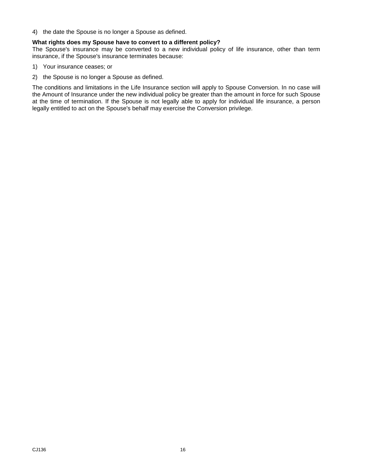4) the date the Spouse is no longer a Spouse as defined.

#### **What rights does my Spouse have to convert to a different policy?**

The Spouse's insurance may be converted to a new individual policy of life insurance, other than term insurance, if the Spouse's insurance terminates because:

- 1) Your insurance ceases; or
- 2) the Spouse is no longer a Spouse as defined.

The conditions and limitations in the Life Insurance section will apply to Spouse Conversion. In no case will the Amount of Insurance under the new individual policy be greater than the amount in force for such Spouse at the time of termination. If the Spouse is not legally able to apply for individual life insurance, a person legally entitled to act on the Spouse's behalf may exercise the Conversion privilege.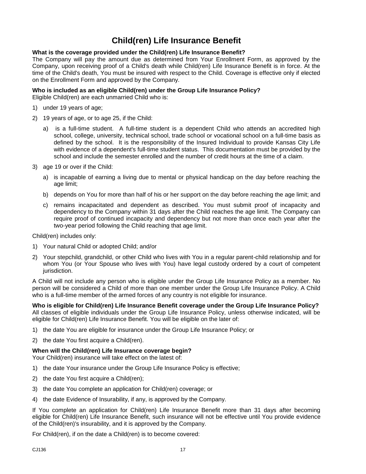## **Child(ren) Life Insurance Benefit**

#### <span id="page-18-0"></span>**What is the coverage provided under the Child(ren) Life Insurance Benefit?**

The Company will pay the amount due as determined from Your Enrollment Form, as approved by the Company, upon receiving proof of a Child's death while Child(ren) Life Insurance Benefit is in force. At the time of the Child's death, You must be insured with respect to the Child. Coverage is effective only if elected on the Enrollment Form and approved by the Company.

#### **Who is included as an eligible Child(ren) under the Group Life Insurance Policy?**

Eligible Child(ren) are each unmarried Child who is:

- 1) under 19 years of age;
- 2) 19 years of age, or to age 25, if the Child:
	- a) is a full-time student. A full-time student is a dependent Child who attends an accredited high school, college, university, technical school, trade school or vocational school on a full-time basis as defined by the school. It is the responsibility of the Insured Individual to provide Kansas City Life with evidence of a dependent's full-time student status. This documentation must be provided by the school and include the semester enrolled and the number of credit hours at the time of a claim.
- 3) age 19 or over if the Child:
	- a) is incapable of earning a living due to mental or physical handicap on the day before reaching the age limit;
	- b) depends on You for more than half of his or her support on the day before reaching the age limit; and
	- c) remains incapacitated and dependent as described. You must submit proof of incapacity and dependency to the Company within 31 days after the Child reaches the age limit. The Company can require proof of continued incapacity and dependency but not more than once each year after the two-year period following the Child reaching that age limit.

Child(ren) includes only:

- 1) Your natural Child or adopted Child; and/or
- 2) Your stepchild, grandchild, or other Child who lives with You in a regular parent-child relationship and for whom You (or Your Spouse who lives with You) have legal custody ordered by a court of competent jurisdiction.

A Child will not include any person who is eligible under the Group Life Insurance Policy as a member. No person will be considered a Child of more than one member under the Group Life Insurance Policy. A Child who is a full-time member of the armed forces of any country is not eligible for insurance.

**Who is eligible for Child(ren) Life Insurance Benefit coverage under the Group Life Insurance Policy?** All classes of eligible individuals under the Group Life Insurance Policy, unless otherwise indicated, will be eligible for Child(ren) Life Insurance Benefit. You will be eligible on the later of:

- 1) the date You are eligible for insurance under the Group Life Insurance Policy; or
- 2) the date You first acquire a Child(ren).

#### **When will the Child(ren) Life Insurance coverage begin?**

Your Child(ren) insurance will take effect on the latest of:

- 1) the date Your insurance under the Group Life Insurance Policy is effective;
- 2) the date You first acquire a Child(ren);
- 3) the date You complete an application for Child(ren) coverage; or
- 4) the date Evidence of Insurability, if any, is approved by the Company.

If You complete an application for Child(ren) Life Insurance Benefit more than 31 days after becoming eligible for Child(ren) Life Insurance Benefit, such insurance will not be effective until You provide evidence of the Child(ren)'s insurability, and it is approved by the Company.

For Child(ren), if on the date a Child(ren) is to become covered: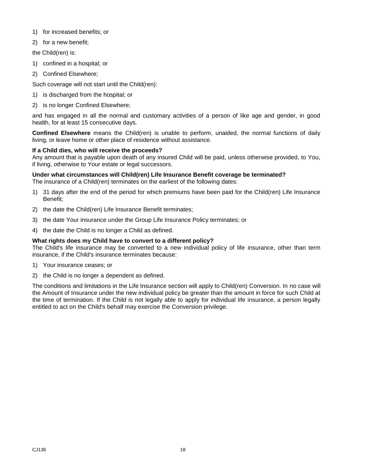- 1) for increased benefits; or
- 2) for a new benefit;

the Child(ren) is:

- 1) confined in a hospital; or
- 2) Confined Elsewhere;

Such coverage will not start until the Child(ren):

- 1) is discharged from the hospital; or
- 2) is no longer Confined Elsewhere;

and has engaged in all the normal and customary activities of a person of like age and gender, in good health, for at least 15 consecutive days.

**Confined Elsewhere** means the Child(ren) is unable to perform, unaided, the normal functions of daily living, or leave home or other place of residence without assistance.

#### **If a Child dies, who will receive the proceeds?**

Any amount that is payable upon death of any insured Child will be paid, unless otherwise provided, to You, if living, otherwise to Your estate or legal successors.

#### **Under what circumstances will Child(ren) Life Insurance Benefit coverage be terminated?**

The insurance of a Child(ren) terminates on the earliest of the following dates:

- 1) 31 days after the end of the period for which premiums have been paid for the Child(ren) Life Insurance Benefit;
- 2) the date the Child(ren) Life Insurance Benefit terminates;
- 3) the date Your insurance under the Group Life Insurance Policy terminates; or
- 4) the date the Child is no longer a Child as defined.

#### **What rights does my Child have to convert to a different policy?**

The Child's life insurance may be converted to a new individual policy of life insurance, other than term insurance, if the Child's insurance terminates because:

- 1) Your insurance ceases; or
- 2) the Child is no longer a dependent as defined.

The conditions and limitations in the Life Insurance section will apply to Child(ren) Conversion. In no case will the Amount of Insurance under the new individual policy be greater than the amount in force for such Child at the time of termination. If the Child is not legally able to apply for individual life insurance, a person legally entitled to act on the Child's behalf may exercise the Conversion privilege.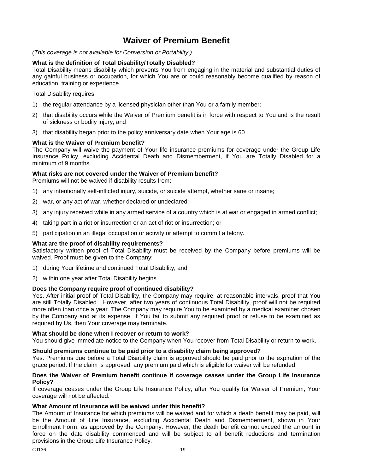## **Waiver of Premium Benefit**

<span id="page-20-0"></span>*(This coverage is not available for Conversion or Portability.)*

#### **What is the definition of Total Disability/Totally Disabled?**

Total Disability means disability which prevents You from engaging in the material and substantial duties of any gainful business or occupation, for which You are or could reasonably become qualified by reason of education, training or experience.

Total Disability requires:

- 1) the regular attendance by a licensed physician other than You or a family member;
- 2) that disability occurs while the Waiver of Premium benefit is in force with respect to You and is the result of sickness or bodily injury; and
- 3) that disability began prior to the policy anniversary date when Your age is 60.

#### **What is the Waiver of Premium benefit?**

The Company will waive the payment of Your life insurance premiums for coverage under the Group Life Insurance Policy, excluding Accidental Death and Dismemberment, if You are Totally Disabled for a minimum of 9 months.

#### **What risks are not covered under the Waiver of Premium benefit?**

Premiums will not be waived if disability results from:

- 1) any intentionally self-inflicted injury, suicide, or suicide attempt, whether sane or insane;
- 2) war, or any act of war, whether declared or undeclared;
- 3) any injury received while in any armed service of a country which is at war or engaged in armed conflict;
- 4) taking part in a riot or insurrection or an act of riot or insurrection; or
- 5) participation in an illegal occupation or activity or attempt to commit a felony.

#### **What are the proof of disability requirements?**

Satisfactory written proof of Total Disability must be received by the Company before premiums will be waived. Proof must be given to the Company:

- 1) during Your lifetime and continued Total Disability; and
- 2) within one year after Total Disability begins.

#### **Does the Company require proof of continued disability?**

Yes. After initial proof of Total Disability, the Company may require, at reasonable intervals, proof that You are still Totally Disabled. However, after two years of continuous Total Disability, proof will not be required more often than once a year. The Company may require You to be examined by a medical examiner chosen by the Company and at its expense. If You fail to submit any required proof or refuse to be examined as required by Us, then Your coverage may terminate.

#### **What should be done when I recover or return to work?**

You should give immediate notice to the Company when You recover from Total Disability or return to work.

#### **Should premiums continue to be paid prior to a disability claim being approved?**

Yes. Premiums due before a Total Disability claim is approved should be paid prior to the expiration of the grace period. If the claim is approved, any premium paid which is eligible for waiver will be refunded.

#### **Does the Waiver of Premium benefit continue if coverage ceases under the Group Life Insurance Policy?**

If coverage ceases under the Group Life Insurance Policy, after You qualify for Waiver of Premium, Your coverage will not be affected.

#### **What Amount of Insurance will be waived under this benefit?**

The Amount of Insurance for which premiums will be waived and for which a death benefit may be paid, will be the Amount of Life Insurance, excluding Accidental Death and Dismemberment, shown in Your Enrollment Form, as approved by the Company. However, the death benefit cannot exceed the amount in force on the date disability commenced and will be subject to all benefit reductions and termination provisions in the Group Life Insurance Policy.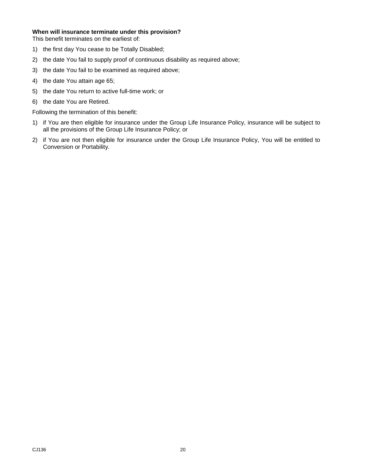#### **When will insurance terminate under this provision?**

This benefit terminates on the earliest of:

- 1) the first day You cease to be Totally Disabled;
- 2) the date You fail to supply proof of continuous disability as required above;
- 3) the date You fail to be examined as required above;
- 4) the date You attain age 65;
- 5) the date You return to active full-time work; or
- 6) the date You are Retired.

Following the termination of this benefit:

- 1) if You are then eligible for insurance under the Group Life Insurance Policy, insurance will be subject to all the provisions of the Group Life Insurance Policy; or
- 2) if You are not then eligible for insurance under the Group Life Insurance Policy, You will be entitled to Conversion or Portability.